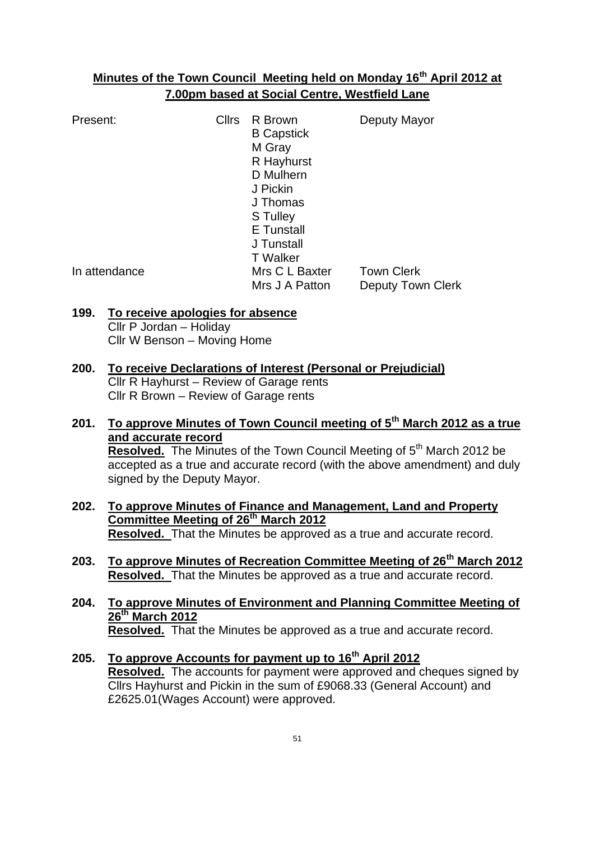#### **Minutes of the Town Council Meeting held on Monday 16th April 2012 at 7.00pm based at Social Centre, Westfield Lane**

| Present:      | <b>Cllrs</b> | R Brown<br><b>B</b> Capstick<br>M Gray<br>R Hayhurst<br>D Mulhern<br>J Pickin<br>J Thomas<br>S Tulley<br><b>E</b> Tunstall<br>J Tunstall | Deputy Mayor                                  |
|---------------|--------------|------------------------------------------------------------------------------------------------------------------------------------------|-----------------------------------------------|
| In attendance |              | <b>T</b> Walker<br>Mrs C L Baxter<br>Mrs J A Patton                                                                                      | <b>Town Clerk</b><br><b>Deputy Town Clerk</b> |

# **199. To receive apologies for absence**

Cllr P Jordan – Holiday Cllr W Benson – Moving Home

### **200. To receive Declarations of Interest (Personal or Prejudicial)**

Cllr R Hayhurst – Review of Garage rents Cllr R Brown – Review of Garage rents

- **201. To approve Minutes of Town Council meeting of 5th March 2012 as a true and accurate record Resolved.** The Minutes of the Town Council Meeting of 5<sup>th</sup> March 2012 be accepted as a true and accurate record (with the above amendment) and duly signed by the Deputy Mayor.
- **202. To approve Minutes of Finance and Management, Land and Property Committee Meeting of 26th March 2012 Resolved.** That the Minutes be approved as a true and accurate record.
- **203. To approve Minutes of Recreation Committee Meeting of 26th March 2012 Resolved.** That the Minutes be approved as a true and accurate record.
- **204. To approve Minutes of Environment and Planning Committee Meeting of 26th March 2012 Resolved.** That the Minutes be approved as a true and accurate record.
- **205. To approve Accounts for payment up to 16th April 2012 Resolved.** The accounts for payment were approved and cheques signed by Cllrs Hayhurst and Pickin in the sum of £9068.33 (General Account) and £2625.01(Wages Account) were approved.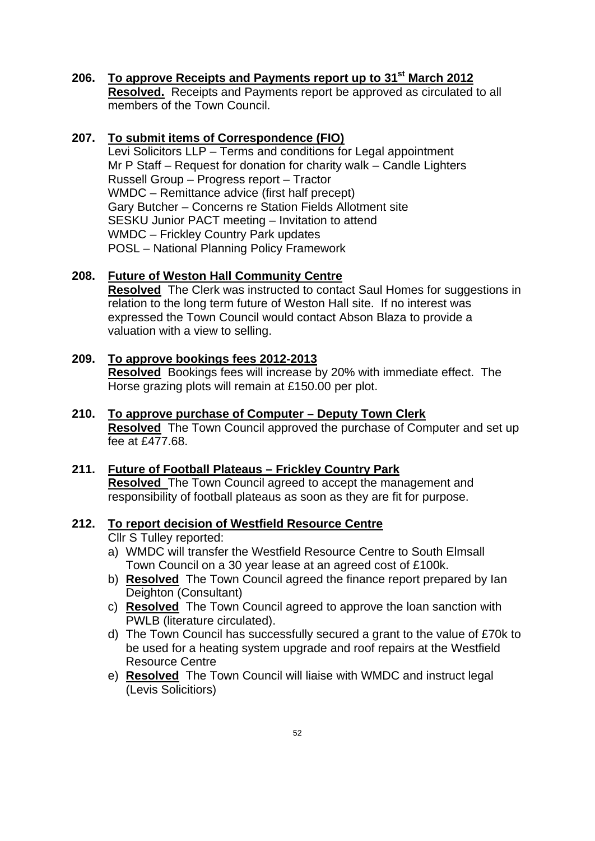#### **206. To approve Receipts and Payments report up to 31st March 2012 Resolved.** Receipts and Payments report be approved as circulated to all members of the Town Council.

#### **207. To submit items of Correspondence (FIO)**

Levi Solicitors LLP – Terms and conditions for Legal appointment Mr P Staff – Request for donation for charity walk – Candle Lighters Russell Group – Progress report – Tractor WMDC – Remittance advice (first half precept) Gary Butcher – Concerns re Station Fields Allotment site SESKU Junior PACT meeting – Invitation to attend WMDC – Frickley Country Park updates POSL – National Planning Policy Framework

#### **208. Future of Weston Hall Community Centre**

**Resolved** The Clerk was instructed to contact Saul Homes for suggestions in relation to the long term future of Weston Hall site. If no interest was expressed the Town Council would contact Abson Blaza to provide a valuation with a view to selling.

#### **209. To approve bookings fees 2012-2013 Resolved** Bookings fees will increase by 20% with immediate effect. The Horse grazing plots will remain at £150.00 per plot.

- **210. To approve purchase of Computer – Deputy Town Clerk Resolved** The Town Council approved the purchase of Computer and set up fee at £477.68.
- **211. Future of Football Plateaus – Frickley Country Park Resolved** The Town Council agreed to accept the management and responsibility of football plateaus as soon as they are fit for purpose.

### **212. To report decision of Westfield Resource Centre**

- Cllr S Tulley reported:
- a) WMDC will transfer the Westfield Resource Centre to South Elmsall Town Council on a 30 year lease at an agreed cost of £100k.
- b) **Resolved** The Town Council agreed the finance report prepared by Ian Deighton (Consultant)
- c) **Resolved** The Town Council agreed to approve the loan sanction with PWLB (literature circulated).
- d) The Town Council has successfully secured a grant to the value of £70k to be used for a heating system upgrade and roof repairs at the Westfield Resource Centre
- e) **Resolved** The Town Council will liaise with WMDC and instruct legal (Levis Solicitiors)